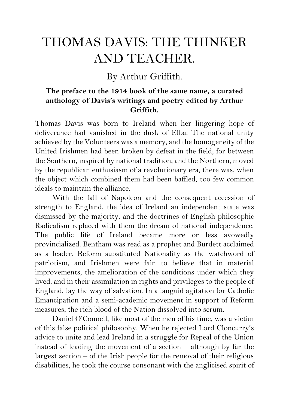## THOMAS DAVIS: THE THINKER AND TEACHER.

## By Arthur Griffith.

## **The preface to the 1914 book of the same name, a curated anthology of Davis's writings and poetry edited by Arthur Griffith.**

Thomas Davis was born to Ireland when her lingering hope of deliverance had vanished in the dusk of Elba. The national unity achieved by the Volunteers was a memory, and the homogeneity of the United Irishmen had been broken by defeat in the field; for between the Southern, inspired by national tradition, and the Northern, moved by the republican enthusiasm of a revolutionary era, there was, when the object which combined them had been baffled, too few common ideals to maintain the alliance.

With the fall of Napoleon and the consequent accession of strength to England, the idea of Ireland an independent state was dismissed by the majority, and the doctrines of English philosophic Radicalism replaced with them the dream of national independence. The public life of Ireland became more or less avowedly provincialized. Bentham was read as a prophet and Burdett acclaimed as a leader. Reform substituted Nationality as the watchword of patriotism, and Irishmen were fain to believe that in material improvements, the amelioration of the conditions under which they lived, and in their assimilation in rights and privileges to the people of England, lay the way of salvation. In a languid agitation for Catholic Emancipation and a semi-academic movement in support of Reform measures, the rich blood of the Nation dissolved into serum.

Daniel O'Connell, like most of the men of his time, was a victim of this false political philosophy. When he rejected Lord Cloncurry's advice to unite and lead Ireland in a struggle for Repeal of the Union instead of leading the movement of a section – although by far the largest section – of the Irish people for the removal of their religious disabilities, he took the course consonant with the anglicised spirit of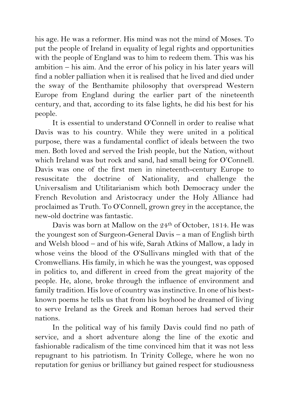his age. He was a reformer. His mind was not the mind of Moses. To put the people of Ireland in equality of legal rights and opportunities with the people of England was to him to redeem them. This was his ambition – his aim. And the error of his policy in his later years will find a nobler palliation when it is realised that he lived and died under the sway of the Benthamite philosophy that overspread Western Europe from England during the earlier part of the nineteenth century, and that, according to its false lights, he did his best for his people.

It is essential to understand O'Connell in order to realise what Davis was to his country. While they were united in a political purpose, there was a fundamental conflict of ideals between the two men. Both loved and served the Irish people, but the Nation, without which Ireland was but rock and sand, had small being for O'Connell. Davis was one of the first men in nineteenth-century Europe to resuscitate the doctrine of Nationality, and challenge the Universalism and Utilitarianism which both Democracy under the French Revolution and Aristocracy under the Holy Alliance had proclaimed as Truth. To O'Connell, grown grey in the acceptance, the new-old doctrine was fantastic.

Davis was born at Mallow on the 24th of October, 1814. He was the youngest son of Surgeon-General Davis – a man of English birth and Welsh blood – and of his wife, Sarah Atkins of Mallow, a lady in whose veins the blood of the O'Sullivans mingled with that of the Cromwellians. His family, in which he was the youngest, was opposed in politics to, and different in creed from the great majority of the people. He, alone, broke through the influence of environment and family tradition. His love of country was instinctive. In one of his bestknown poems he tells us that from his boyhood he dreamed of living to serve Ireland as the Greek and Roman heroes had served their nations.

In the political way of his family Davis could find no path of service, and a short adventure along the line of the exotic and fashionable radicalism of the time convinced him that it was not less repugnant to his patriotism. In Trinity College, where he won no reputation for genius or brilliancy but gained respect for studiousness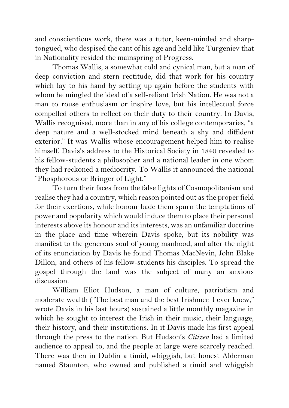and conscientious work, there was a tutor, keen-minded and sharptongued, who despised the cant of his age and held like Turgeniev that in Nationality resided the mainspring of Progress.

Thomas Wallis, a somewhat cold and cynical man, but a man of deep conviction and stern rectitude, did that work for his country which lay to his hand by setting up again before the students with whom he mingled the ideal of a self-reliant Irish Nation. He was not a man to rouse enthusiasm or inspire love, but his intellectual force compelled others to reflect on their duty to their country. In Davis, Wallis recognised, more than in any of his college contemporaries, "a deep nature and a well-stocked mind beneath a shy and diffident exterior." It was Wallis whose encouragement helped him to realise himself. Davis's address to the Historical Society in 1840 revealed to his fellow-students a philosopher and a national leader in one whom they had reckoned a mediocrity. To Wallis it announced the national "Phosphorous or Bringer of Light."

To turn their faces from the false lights of Cosmopolitanism and realise they had a country, which reason pointed out as the proper field for their exertions, while honour bade them spurn the temptations of power and popularity which would induce them to place their personal interests above its honour and its interests, was an unfamiliar doctrine in the place and time wherein Davis spoke, but its nobility was manifest to the generous soul of young manhood, and after the night of its enunciation by Davis he found Thomas MacNevin, John Blake Dillon, and others of his fellow-students his disciples. To spread the gospel through the land was the subject of many an anxious discussion.

William Eliot Hudson, a man of culture, patriotism and moderate wealth ("The best man and the best Irishmen I ever knew," wrote Davis in his last hours) sustained a little monthly magazine in which he sought to interest the Irish in their music, their language, their history, and their institutions. In it Davis made his first appeal through the press to the nation. But Hudson's *Citizen* had a limited audience to appeal to, and the people at large were scarcely reached. There was then in Dublin a timid, whiggish, but honest Alderman named Staunton, who owned and published a timid and whiggish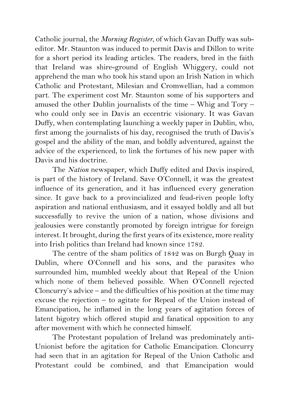Catholic journal, the *Morning Register*, of which Gavan Duffy was subeditor. Mr. Staunton was induced to permit Davis and Dillon to write for a short period its leading articles. The readers, bred in the faith that Ireland was shire-ground of English Whiggery, could not apprehend the man who took his stand upon an Irish Nation in which Catholic and Protestant, Milesian and Cromwellian, had a common part. The experiment cost Mr. Staunton some of his supporters and amused the other Dublin journalists of the time – Whig and Tory – who could only see in Davis an eccentric visionary. It was Gavan Duffy, when contemplating launching a weekly paper in Dublin, who, first among the journalists of his day, recognised the truth of Davis's gospel and the ability of the man, and boldly adventured, against the advice of the experienced, to link the fortunes of his new paper with Davis and his doctrine.

The *Nation* newspaper, which Duffy edited and Davis inspired, is part of the history of Ireland. Save O'Connell, it was the greatest influence of its generation, and it has influenced every generation since. It gave back to a provincialized and feud-riven people lofty aspiration and national enthusiasm, and it essayed boldly and all but successfully to revive the union of a nation, whose divisions and jealousies were constantly promoted by foreign intrigue for foreign interest. It brought, during the first years of its existence, more reality into Irish politics than Ireland had known since 1782.

The centre of the sham politics of 1842 was on Burgh Quay in Dublin, where O'Connell and his sons, and the parasites who surrounded him, mumbled weekly about that Repeal of the Union which none of them believed possible. When O'Connell rejected Cloncurry's advice – and the difficulties of his position at the time may excuse the rejection – to agitate for Repeal of the Union instead of Emancipation, he inflamed in the long years of agitation forces of latent bigotry which offered stupid and fanatical opposition to any after movement with which he connected himself.

The Protestant population of Ireland was predominately anti-Unionist before the agitation for Catholic Emancipation. Cloncurry had seen that in an agitation for Repeal of the Union Catholic and Protestant could be combined, and that Emancipation would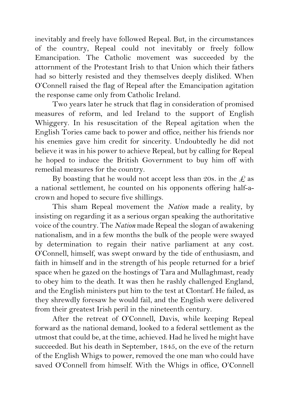inevitably and freely have followed Repeal. But, in the circumstances of the country, Repeal could not inevitably or freely follow Emancipation. The Catholic movement was succeeded by the attornment of the Protestant Irish to that Union which their fathers had so bitterly resisted and they themselves deeply disliked. When O'Connell raised the flag of Repeal after the Emancipation agitation the response came only from Catholic Ireland.

Two years later he struck that flag in consideration of promised measures of reform, and led Ireland to the support of English Whiggery. In his resuscitation of the Repeal agitation when the English Tories came back to power and office, neither his friends nor his enemies gave him credit for sincerity. Undoubtedly he did not believe it was in his power to achieve Repeal, but by calling for Repeal he hoped to induce the British Government to buy him off with remedial measures for the country.

By boasting that he would not accept less than 20s. in the  $\mathcal L$  as a national settlement, he counted on his opponents offering half-acrown and hoped to secure five shillings.

This sham Repeal movement the *Nation* made a reality, by insisting on regarding it as a serious organ speaking the authoritative voice of the country. The *Nation* made Repeal the slogan of awakening nationalism, and in a few months the bulk of the people were swayed by determination to regain their native parliament at any cost. O'Connell, himself, was swept onward by the tide of enthusiasm, and faith in himself and in the strength of his people returned for a brief space when he gazed on the hostings of Tara and Mullaghmast, ready to obey him to the death. It was then he rashly challenged England, and the English ministers put him to the test at Clontarf. He failed, as they shrewdly foresaw he would fail, and the English were delivered from their greatest Irish peril in the nineteenth century.

After the retreat of O'Connell, Davis, while keeping Repeal forward as the national demand, looked to a federal settlement as the utmost that could be, at the time, achieved. Had he lived he might have succeeded. But his death in September, 1845, on the eve of the return of the English Whigs to power, removed the one man who could have saved O'Connell from himself. With the Whigs in office, O'Connell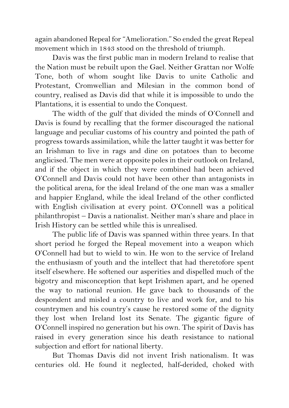again abandoned Repeal for "Amelioration." So ended the great Repeal movement which in 1843 stood on the threshold of triumph.

Davis was the first public man in modern Ireland to realise that the Nation must be rebuilt upon the Gael. Neither Grattan nor Wolfe Tone, both of whom sought like Davis to unite Catholic and Protestant, Cromwellian and Milesian in the common bond of country, realised as Davis did that while it is impossible to undo the Plantations, it is essential to undo the Conquest.

The width of the gulf that divided the minds of O'Connell and Davis is found by recalling that the former discouraged the national language and peculiar customs of his country and pointed the path of progress towards assimilation, while the latter taught it was better for an Irishman to live in rags and dine on potatoes than to become anglicised. The men were at opposite poles in their outlook on Ireland, and if the object in which they were combined had been achieved O'Connell and Davis could not have been other than antagonists in the political arena, for the ideal Ireland of the one man was a smaller and happier England, while the ideal Ireland of the other conflicted with English civilisation at every point. O'Connell was a political philanthropist – Davis a nationalist. Neither man's share and place in Irish History can be settled while this is unrealised.

The public life of Davis was spanned within three years. In that short period he forged the Repeal movement into a weapon which O'Connell had but to wield to win. He won to the service of Ireland the enthusiasm of youth and the intellect that had theretofore spent itself elsewhere. He softened our asperities and dispelled much of the bigotry and misconception that kept Irishmen apart, and he opened the way to national reunion. He gave back to thousands of the despondent and misled a country to live and work for, and to his countrymen and his country's cause he restored some of the dignity they lost when Ireland lost its Senate. The gigantic figure of O'Connell inspired no generation but his own. The spirit of Davis has raised in every generation since his death resistance to national subjection and effort for national liberty.

But Thomas Davis did not invent Irish nationalism. It was centuries old. He found it neglected, half-derided, choked with